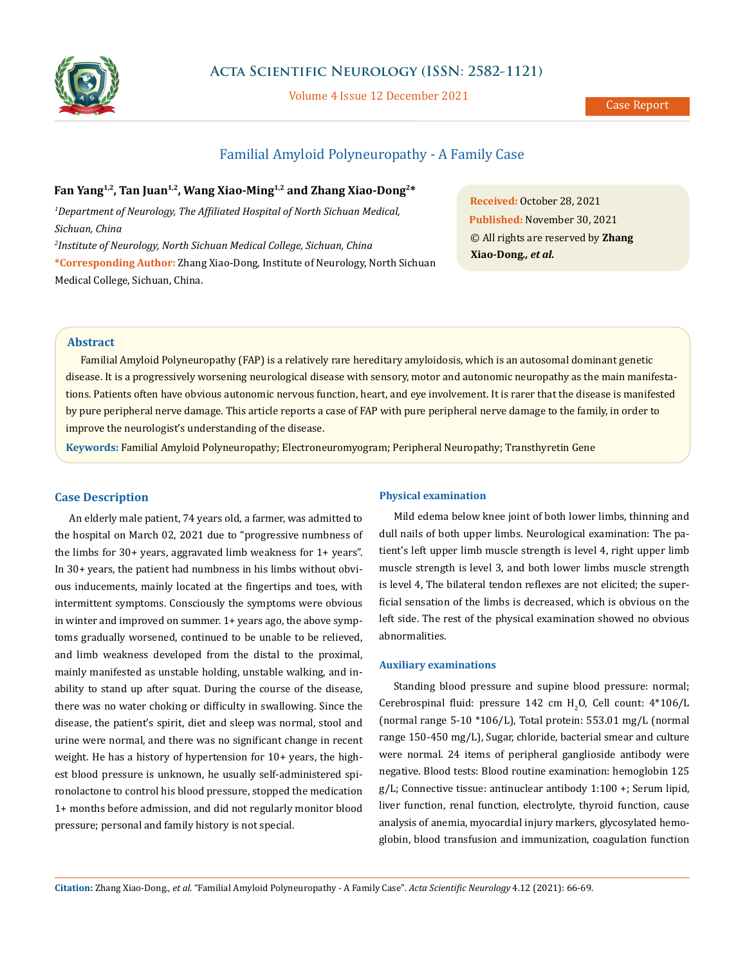

## **Acta Scientific Neurology (ISSN: 2582-1121)**

Volume 4 Issue 12 December 2021

# Familial Amyloid Polyneuropathy - A Family Case

# **Fan Yang1,2, Tan Juan1,2, Wang Xiao-Ming1,2 and Zhang Xiao-Dong2\***

*1 Department of Neurology, The Affiliated Hospital of North Sichuan Medical, Sichuan, China 2 Institute of Neurology, North Sichuan Medical College, Sichuan, China*

**\*Corresponding Author:** Zhang Xiao-Dong, Institute of Neurology, North Sichuan Medical College, Sichuan, China.

**Received:** October 28, 2021 **Published:** November 30, 2021 © All rights are reserved by **Zhang Xiao-Dong***., et al.*

### **Abstract**

Familial Amyloid Polyneuropathy (FAP) is a relatively rare hereditary amyloidosis, which is an autosomal dominant genetic disease. It is a progressively worsening neurological disease with sensory, motor and autonomic neuropathy as the main manifestations. Patients often have obvious autonomic nervous function, heart, and eye involvement. It is rarer that the disease is manifested by pure peripheral nerve damage. This article reports a case of FAP with pure peripheral nerve damage to the family, in order to improve the neurologist's understanding of the disease.

**Keywords:** Familial Amyloid Polyneuropathy; Electroneuromyogram; Peripheral Neuropathy; Transthyretin Gene

#### **Case Description**

An elderly male patient, 74 years old, a farmer, was admitted to the hospital on March 02, 2021 due to "progressive numbness of the limbs for 30+ years, aggravated limb weakness for 1+ years". In 30+ years, the patient had numbness in his limbs without obvious inducements, mainly located at the fingertips and toes, with intermittent symptoms. Consciously the symptoms were obvious in winter and improved on summer. 1+ years ago, the above symptoms gradually worsened, continued to be unable to be relieved, and limb weakness developed from the distal to the proximal, mainly manifested as unstable holding, unstable walking, and inability to stand up after squat. During the course of the disease, there was no water choking or difficulty in swallowing. Since the disease, the patient's spirit, diet and sleep was normal, stool and urine were normal, and there was no significant change in recent weight. He has a history of hypertension for 10+ years, the highest blood pressure is unknown, he usually self-administered spironolactone to control his blood pressure, stopped the medication 1+ months before admission, and did not regularly monitor blood pressure; personal and family history is not special.

#### **Physical examination**

Mild edema below knee joint of both lower limbs, thinning and dull nails of both upper limbs. Neurological examination: The patient's left upper limb muscle strength is level 4, right upper limb muscle strength is level 3, and both lower limbs muscle strength is level 4, The bilateral tendon reflexes are not elicited; the superficial sensation of the limbs is decreased, which is obvious on the left side. The rest of the physical examination showed no obvious abnormalities.

#### **Auxiliary examinations**

Standing blood pressure and supine blood pressure: normal; Cerebrospinal fluid: pressure  $142 \text{ cm H}_2$ O, Cell count:  $4*106$ /L (normal range 5-10 \*106/L), Total protein: 553.01 mg/L (normal range 150-450 mg/L), Sugar, chloride, bacterial smear and culture were normal. 24 items of peripheral ganglioside antibody were negative. Blood tests: Blood routine examination: hemoglobin 125 g/L; Connective tissue: antinuclear antibody 1:100 +; Serum lipid, liver function, renal function, electrolyte, thyroid function, cause analysis of anemia, myocardial injury markers, glycosylated hemoglobin, blood transfusion and immunization, coagulation function

**Citation:** Zhang Xiao-Dong*., et al.* "Familial Amyloid Polyneuropathy - A Family Case". *Acta Scientific Neurology* 4.12 (2021): 66-69.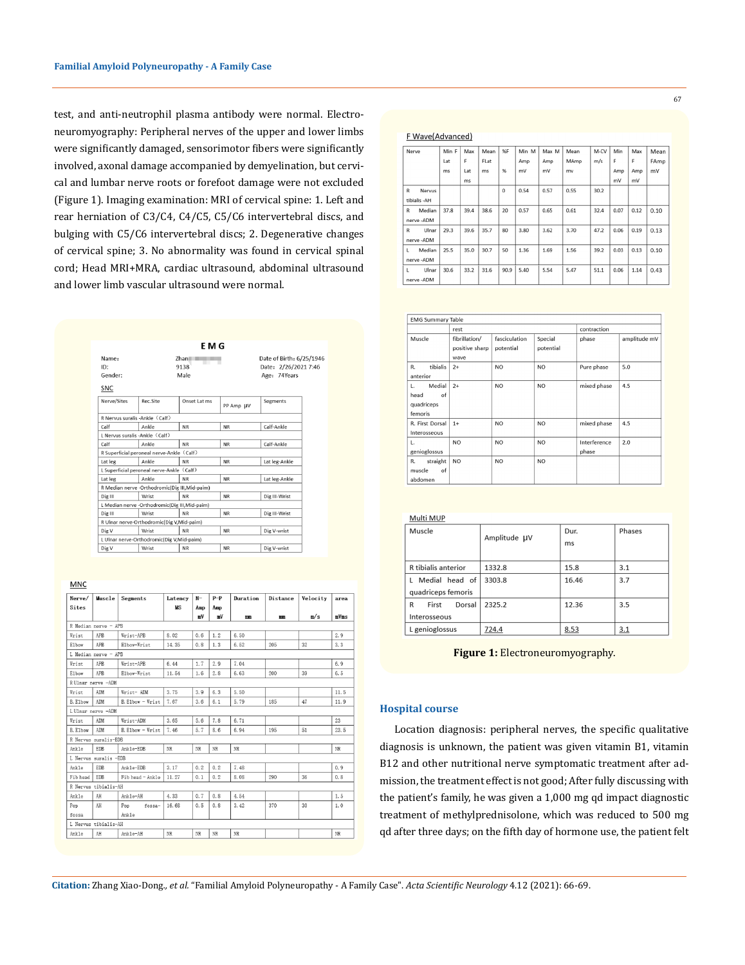test, and anti-neutrophil plasma antibody were normal. Electroneuromyography: Peripheral nerves of the upper and lower limbs were significantly damaged, sensorimotor fibers were significantly involved, axonal damage accompanied by demyelination, but cervical and lumbar nerve roots or forefoot damage were not excluded (Figure 1). Imaging examination: MRI of cervical spine: 1. Left and rear herniation of C3/C4, C4/C5, C5/C6 intervertebral discs, and bulging with C5/C6 intervertebral discs; 2. Degenerative changes of cervical spine; 3. No abnormality was found in cervical spinal cord; Head MRI+MRA, cardiac ultrasound, abdominal ultrasound and lower limb vascular ultrasound were normal.

|             |                                                | E M G        |           |                          |  |
|-------------|------------------------------------------------|--------------|-----------|--------------------------|--|
| Name:       |                                                | Zhan<br>-    |           | Date of Birth: 6/25/1946 |  |
| ID:         |                                                | 9138         |           | Date: 2/26/2021 7:46     |  |
| Gender:     |                                                | Male         |           | Age: 74Years             |  |
| SNC         |                                                |              |           |                          |  |
| Nerve/Sites | Rec.Site                                       | Onset Lat ms | PP Amp UV | Segments                 |  |
|             | R Nervus suralis -Ankle (Calf)                 |              |           |                          |  |
| Calf        | Ankle                                          | <b>NR</b>    | <b>NR</b> | Calf-Ankle               |  |
|             | L Nervus suralis - Ankle (Calf)                |              |           |                          |  |
| Calf        | Ankle                                          | <b>NR</b>    | <b>NR</b> | Calf-Ankle               |  |
|             | R Superficial peroneal nerve-Ankle (Calf)      |              |           |                          |  |
| Lat leg     | Ankle                                          | <b>NR</b>    | <b>NR</b> | Lat leg-Ankle            |  |
|             | L Superficial peroneal nerve-Ankle (Calf)      |              |           |                          |  |
| Lat leg     | Ankle                                          | <b>NR</b>    | <b>NR</b> | Lat leg-Ankle            |  |
|             | R Median nerve -Orthodromic(Dig III, Mid-paim) |              |           |                          |  |
| Dig III     | Wrist                                          | <b>NR</b>    | <b>NR</b> | Dig III-Wrist            |  |
|             | L Median nerve -Orthodromic(Dig III, Mid-paim) |              |           |                          |  |
| Dig III     | Wrist                                          | <b>NR</b>    | <b>NR</b> | Dig III-Wrist            |  |
|             | R Ulnar nerve-Orthodromic(Dig V,Mid-paim)      |              |           |                          |  |
| Dig V       | Wrist                                          | <b>NR</b>    | <b>NR</b> | Dig V-wrist              |  |
|             | L Ulnar nerve-Orthodromic(Dig V, Mid-paim)     |              |           |                          |  |
| Dig V       | Wrist                                          | <b>NR</b>    | <b>NR</b> | Dig V-wrist              |  |

 $MNC$ 

| Nerve/               | Muscle                | Segments         | Latency   | $N-$        | $P-P$ | Duration | Distance | Velocity | area    |
|----------------------|-----------------------|------------------|-----------|-------------|-------|----------|----------|----------|---------|
| Sites                |                       |                  | <b>MS</b> | Amp         | Amp   |          |          |          |         |
|                      |                       |                  |           | mV          | mV    | mm       | mm       | m/s      | $mV$ ms |
| R Median nerve - APB |                       |                  |           |             |       |          |          |          |         |
| Wrist                | APB                   | Wrist-APB        | 8.02      | 0.6         | 1.2   | 6.50     |          |          | 2.9     |
| Elbow                | APR                   | Elbow-Wrist      | 14.35     | 0.8         | 1.3   | 6.52     | 205      | 32       | 3.3     |
|                      | L Median nerve - APB  |                  |           |             |       |          |          |          |         |
| Wrist                | APB                   | Wrist-APB        | 6.44      | 1.7         | 2.9   | 7.04     |          |          | 6.9     |
| E1bow                | APB                   | Elbow-Wrist      | 11.54     | 1.6         | 2.8   | 6.63     | 200      | 39       | 6.5     |
|                      | RUlnar nerve -ADM     |                  |           |             |       |          |          |          |         |
| Wrist                | ADM                   | Wrist- ADM       | 3.75      | 3.9         | 6.3   | 5.50     |          |          | 11.5    |
| B. Elbow             | ADM                   | B. Elbow - Wrist | 7.67      | 3.6         | 6.1   | 5.79     | 185      | 47       | 11.9    |
|                      | LUlnar nerve -ADM     |                  |           |             |       |          |          |          |         |
| Wrist                | ADM                   | Wrist-ADM        | 3.65      | 5.6         | 7.8   | 6.71     |          |          | 23      |
| B. Elbow             | ADM                   | B. Elbow - Wrist | 7.46      | 5.7         | 8.6   | 6.94     | 195      | 51       | 23.5    |
|                      | R Nervus suralis-EDB  |                  |           |             |       |          |          |          |         |
| Ankle                | EDB                   | Ank1e-EDB        | NR        | NR          | NR    | NR       |          |          | NR      |
|                      | L Nervus suralis -EDB |                  |           |             |       |          |          |          |         |
| Ankle                | EDB                   | Ankle-EDB        | 3.17      | 0.2         | 0.2   | 7.48     |          |          | 0.9     |
| Fib head             | <b>EDB</b>            | Fib head - Ankle | 11.27     | 0.1         | 0.2   | 8.08     | 290      | 36       | 0.8     |
| R Nervus tibialis-AH |                       |                  |           |             |       |          |          |          |         |
| Ankle                | AH                    | Ankle-AH         | 4.33      | 0.7         | 0.8   | 4.54     |          |          | 1.5     |
| Pop                  | AH                    | Pop fossa-       | 16.68     | 0.5         | 0.8   | 3.42     | 370      | 30       | 1.0     |
| fossa                |                       | Ankle            |           |             |       |          |          |          |         |
|                      | L Nervus tibialis-AH  |                  |           |             |       |          |          |          |         |
| Ankle                | AH                    | Ankle-AH         | NR        | $_{\rm NR}$ | NR    | NR       |          |          | NR      |

#### F Wave(Advanced)

| Nerve                  | Min F | Max  | Mean | %F       | Min M | Max M | Mean | $M-CV$ | Min  | Max  | Mean |
|------------------------|-------|------|------|----------|-------|-------|------|--------|------|------|------|
|                        | Lat   | F    | FLat |          | Amp   | Amp   | MAmp | m/s    | F    | F    | FAmp |
|                        | ms    | Lat  | ms   | %        | mV    | mV    | mv   |        | Amp  | Amp  | mV   |
|                        |       | ms   |      |          |       |       |      |        | mV   | mV   |      |
| $\mathsf{R}$<br>Nervus |       |      |      | $\Omega$ | 0.54  | 0.57  | 0.55 | 30.2   |      |      |      |
| tibialis - AH          |       |      |      |          |       |       |      |        |      |      |      |
| Median<br>R            | 37.8  | 39.4 | 38.6 | 20       | 0.57  | 0.65  | 0.61 | 32.4   | 0.07 | 0.12 | 0.10 |
| nerve-ADM              |       |      |      |          |       |       |      |        |      |      |      |
| R<br>Ulnar             | 29.3  | 39.6 | 35.7 | 80       | 3.80  | 3.62  | 3.70 | 47.2   | 0.06 | 0.19 | 0.13 |
| nerve-ADM              |       |      |      |          |       |       |      |        |      |      |      |
| Median<br>L            | 25.5  | 35.0 | 30.7 | 50       | 1.36  | 1.69  | 1.56 | 39.2   | 0.03 | 0.13 | 0.10 |
| nerve-ADM              |       |      |      |          |       |       |      |        |      |      |      |
| Ulnar<br>L             | 30.6  | 33.2 | 31.6 | 90.9     | 5.40  | 5.54  | 5.47 | 51.1   | 0.06 | 1.14 | 0.43 |
| nerve-ADM              |       |      |      |          |       |       |      |        |      |      |      |

| <b>EMG Summary Table</b>                            |                                         |                            |                      |                       |              |  |  |
|-----------------------------------------------------|-----------------------------------------|----------------------------|----------------------|-----------------------|--------------|--|--|
|                                                     | rest                                    | contraction                |                      |                       |              |  |  |
| Muscle                                              | fibrillation/<br>positive sharp<br>wave | fasciculation<br>potential | Special<br>potential | phase                 | amplitude mV |  |  |
| tibialis<br>R.<br>anterior                          | $2+$                                    | N <sub>O</sub>             | N <sub>O</sub>       | Pure phase            | 5.0          |  |  |
| Medial<br>L.<br>of<br>head<br>quadriceps<br>femoris | $2+$                                    | <b>NO</b>                  | <b>NO</b>            | mixed phase           | 4.5          |  |  |
| R. First Dorsal<br>Interosseous                     | $1+$                                    | N <sub>O</sub>             | <b>NO</b>            | mixed phase           | 4.5          |  |  |
| L.<br>genioglossus                                  | N <sub>O</sub>                          | N <sub>O</sub>             | <b>NO</b>            | Interference<br>phase | 2.0          |  |  |
| straight<br>R.<br>of<br>muscle<br>abdomen           | N <sub>O</sub>                          | N <sub>O</sub>             | <b>NO</b>            |                       |              |  |  |

| Multi MUP            |              |       |        |  |
|----------------------|--------------|-------|--------|--|
| Muscle               | Amplitude µV | Dur.  | Phases |  |
|                      |              | ms    |        |  |
|                      |              |       |        |  |
| R tibialis anterior  | 1332.8       | 15.8  | 3.1    |  |
| Medial head of       | 3303.8       | 16.46 | 3.7    |  |
| quadriceps femoris   |              |       |        |  |
| First<br>Dorsal<br>R | 2325.2       | 12.36 | 3.5    |  |
| Interosseous         |              |       |        |  |
| L genioglossus       | 724.4        | 8.53  | 3.1    |  |

**Figure 1:** Electroneuromyography.

#### **Hospital course**

Location diagnosis: peripheral nerves, the specific qualitative diagnosis is unknown, the patient was given vitamin B1, vitamin B12 and other nutritional nerve symptomatic treatment after admission, the treatment effect is not good; After fully discussing with the patient's family, he was given a 1,000 mg qd impact diagnostic treatment of methylprednisolone, which was reduced to 500 mg qd after three days; on the fifth day of hormone use, the patient felt

**Citation:** Zhang Xiao-Dong*., et al.* "Familial Amyloid Polyneuropathy - A Family Case". *Acta Scientific Neurology* 4.12 (2021): 66-69.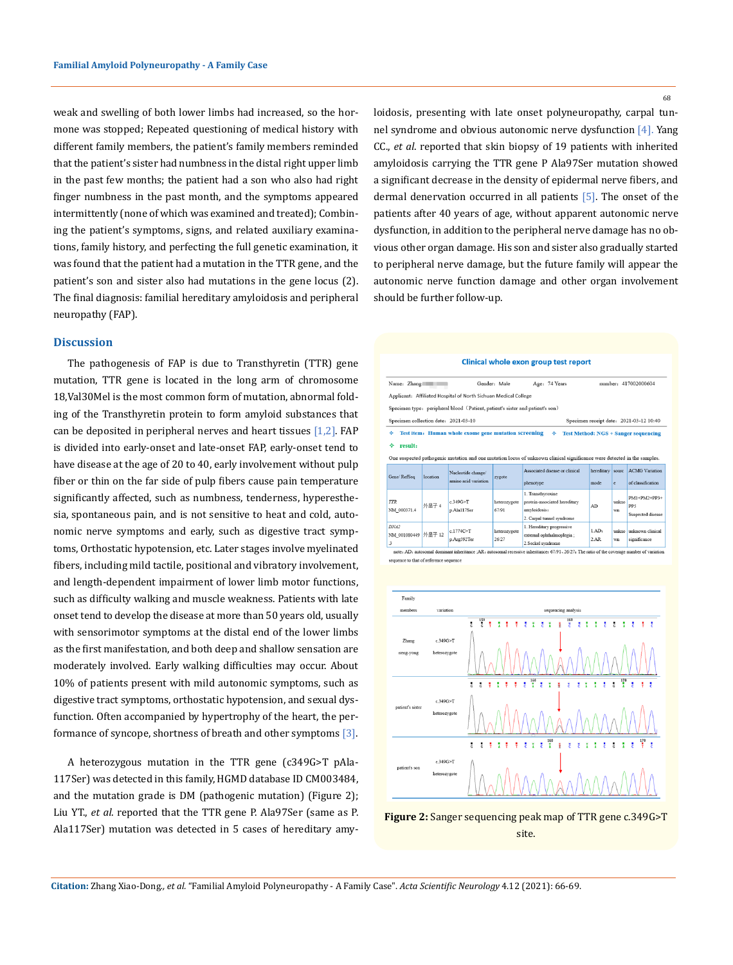weak and swelling of both lower limbs had increased, so the hormone was stopped; Repeated questioning of medical history with different family members, the patient's family members reminded that the patient's sister had numbness in the distal right upper limb in the past few months; the patient had a son who also had right finger numbness in the past month, and the symptoms appeared intermittently (none of which was examined and treated); Combining the patient's symptoms, signs, and related auxiliary examinations, family history, and perfecting the full genetic examination, it was found that the patient had a mutation in the TTR gene, and the patient's son and sister also had mutations in the gene locus (2). The final diagnosis: familial hereditary amyloidosis and peripheral neuropathy (FAP).

#### **Discussion**

The pathogenesis of FAP is due to Transthyretin (TTR) gene mutation, TTR gene is located in the long arm of chromosome 18,Val30Mel is the most common form of mutation, abnormal folding of the Transthyretin protein to form amyloid substances that can be deposited in peripheral nerves and heart tissues  $[1,2]$ . FAP is divided into early-onset and late-onset FAP, early-onset tend to have disease at the age of 20 to 40, early involvement without pulp fiber or thin on the far side of pulp fibers cause pain temperature significantly affected, such as numbness, tenderness, hyperesthesia, spontaneous pain, and is not sensitive to heat and cold, autonomic nerve symptoms and early, such as digestive tract symptoms, Orthostatic hypotension, etc. Later stages involve myelinated fibers, including mild tactile, positional and vibratory involvement, and length-dependent impairment of lower limb motor functions, such as difficulty walking and muscle weakness. Patients with late onset tend to develop the disease at more than 50 years old, usually with sensorimotor symptoms at the distal end of the lower limbs as the first manifestation, and both deep and shallow sensation are moderately involved. Early walking difficulties may occur. About 10% of patients present with mild autonomic symptoms, such as digestive tract symptoms, orthostatic hypotension, and sexual dysfunction. Often accompanied by hypertrophy of the heart, the performance of syncope, shortness of breath and other symptoms  $[3]$ .

A heterozygous mutation in the TTR gene (c349G>T pAla-117Ser) was detected in this family, HGMD database ID CM003484, and the mutation grade is DM (pathogenic mutation) (Figure 2); Liu YT., *et al*. reported that the TTR gene P. Ala97Ser (same as P. Ala117Ser) mutation was detected in 5 cases of hereditary amyloidosis, presenting with late onset polyneuropathy, carpal tunnel syndrome and obvious autonomic nerve dysfunction [4]. Yang CC., *et al*. reported that skin biopsy of 19 patients with inherited amyloidosis carrying the TTR gene P Ala97Ser mutation showed a significant decrease in the density of epidermal nerve fibers, and dermal denervation occurred in all patients [5]. The onset of the patients after 40 years of age, without apparent autonomic nerve dysfunction, in addition to the peripheral nerve damage has no obvious other organ damage. His son and sister also gradually started to peripheral nerve damage, but the future family will appear the autonomic nerve function damage and other organ involvement should be further follow-up.

#### Clinical whole exon group test report

| Name: Zhang<br>Gender: Male<br>Age: 74 Years<br>number: 417002000604<br>Applicant: Affiliated Hospital of North Sichuan Medical College<br>Specimen type: peripheral blood (Patient, patient's sister and patient's son)<br>Specimen collection date: 2021-03-10<br>Specimen receipt date: 2021-03-12 10:40<br>Test item: Human whole exome gene mutation screening<br>❖<br>❖<br><b>Test Method: NGS + Sanger sequencing</b><br>result:<br>⋄<br>One suspected pathogenic mutation and one mutation locus of unknown clinical significance were detected in the samples.<br>Associated disease or clinical<br>hereditary sourc<br><b>ACMG</b> Variation<br>Nucleotide change/<br>Gene/RefSeq<br>location<br>zygote<br>amino acid variation<br>of classification<br>phenotype<br>mode<br>e<br>1. Transthvroxine<br>$PM1+PM2+PP3+$<br><b>TTR</b><br>unkno<br>c.349G > T<br>protein-associated hereditary<br>heterozygote<br>外界子 4<br>pp <sub>5</sub><br>AD<br>NM 000371.4<br>p.Ala117Ser<br>67/91<br>amvloidosis:<br>wn<br>Suspected disease<br>2. Carpal tunnel syndrome<br>DNA2 |  |  |  |  |                           |  |  |  |  |
|--------------------------------------------------------------------------------------------------------------------------------------------------------------------------------------------------------------------------------------------------------------------------------------------------------------------------------------------------------------------------------------------------------------------------------------------------------------------------------------------------------------------------------------------------------------------------------------------------------------------------------------------------------------------------------------------------------------------------------------------------------------------------------------------------------------------------------------------------------------------------------------------------------------------------------------------------------------------------------------------------------------------------------------------------------------------------------|--|--|--|--|---------------------------|--|--|--|--|
|                                                                                                                                                                                                                                                                                                                                                                                                                                                                                                                                                                                                                                                                                                                                                                                                                                                                                                                                                                                                                                                                                |  |  |  |  |                           |  |  |  |  |
|                                                                                                                                                                                                                                                                                                                                                                                                                                                                                                                                                                                                                                                                                                                                                                                                                                                                                                                                                                                                                                                                                |  |  |  |  |                           |  |  |  |  |
|                                                                                                                                                                                                                                                                                                                                                                                                                                                                                                                                                                                                                                                                                                                                                                                                                                                                                                                                                                                                                                                                                |  |  |  |  |                           |  |  |  |  |
|                                                                                                                                                                                                                                                                                                                                                                                                                                                                                                                                                                                                                                                                                                                                                                                                                                                                                                                                                                                                                                                                                |  |  |  |  |                           |  |  |  |  |
|                                                                                                                                                                                                                                                                                                                                                                                                                                                                                                                                                                                                                                                                                                                                                                                                                                                                                                                                                                                                                                                                                |  |  |  |  |                           |  |  |  |  |
|                                                                                                                                                                                                                                                                                                                                                                                                                                                                                                                                                                                                                                                                                                                                                                                                                                                                                                                                                                                                                                                                                |  |  |  |  |                           |  |  |  |  |
|                                                                                                                                                                                                                                                                                                                                                                                                                                                                                                                                                                                                                                                                                                                                                                                                                                                                                                                                                                                                                                                                                |  |  |  |  |                           |  |  |  |  |
|                                                                                                                                                                                                                                                                                                                                                                                                                                                                                                                                                                                                                                                                                                                                                                                                                                                                                                                                                                                                                                                                                |  |  |  |  |                           |  |  |  |  |
|                                                                                                                                                                                                                                                                                                                                                                                                                                                                                                                                                                                                                                                                                                                                                                                                                                                                                                                                                                                                                                                                                |  |  |  |  |                           |  |  |  |  |
| $1$ AD:<br>unknown clinical<br>c.1774C>T<br>unkno<br>heterozygote<br>NM_001080449 外显子 12<br>external ophthalmoplegia ;<br>2AR<br>p.Arg592Ter<br>26/27<br>significance<br>wn<br>2.Seckel syndrome<br>3<br>note: AD: autosomal dominant inheritance ;AR: autosomal recessive inheritance; 67/91、26/27: The ratio of the coverage number of variation                                                                                                                                                                                                                                                                                                                                                                                                                                                                                                                                                                                                                                                                                                                             |  |  |  |  | 1. Hereditary progressive |  |  |  |  |





68